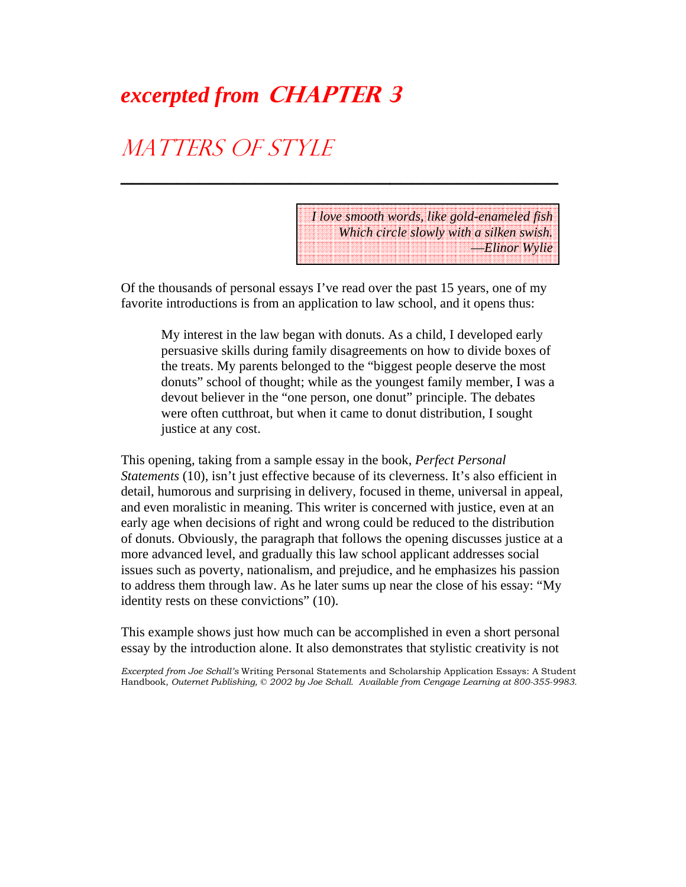# *excerpted from* **CHAPTER 3**

# MATTERS OF STYLE

*I love smooth words, like gold-enameled fish Which circle slowly with a silken swish.* —*Elinor Wylie*

Of the thousands of personal essays I've read over the past 15 years, one of my favorite introductions is from an application to law school, and it opens thus:

**\_\_\_\_\_\_\_\_\_\_\_\_\_\_\_\_\_\_\_\_\_\_\_\_\_\_\_\_\_\_\_\_\_\_\_\_\_\_\_**

My interest in the law began with donuts. As a child, I developed early persuasive skills during family disagreements on how to divide boxes of the treats. My parents belonged to the "biggest people deserve the most donuts" school of thought; while as the youngest family member, I was a devout believer in the "one person, one donut" principle. The debates were often cutthroat, but when it came to donut distribution, I sought justice at any cost.

This opening, taking from a sample essay in the book, *Perfect Personal Statements* (10), isn't just effective because of its cleverness. It's also efficient in detail, humorous and surprising in delivery, focused in theme, universal in appeal, and even moralistic in meaning. This writer is concerned with justice, even at an early age when decisions of right and wrong could be reduced to the distribution of donuts. Obviously, the paragraph that follows the opening discusses justice at a more advanced level, and gradually this law school applicant addresses social issues such as poverty, nationalism, and prejudice, and he emphasizes his passion to address them through law. As he later sums up near the close of his essay: "My identity rests on these convictions" (10).

This example shows just how much can be accomplished in even a short personal essay by the introduction alone. It also demonstrates that stylistic creativity is not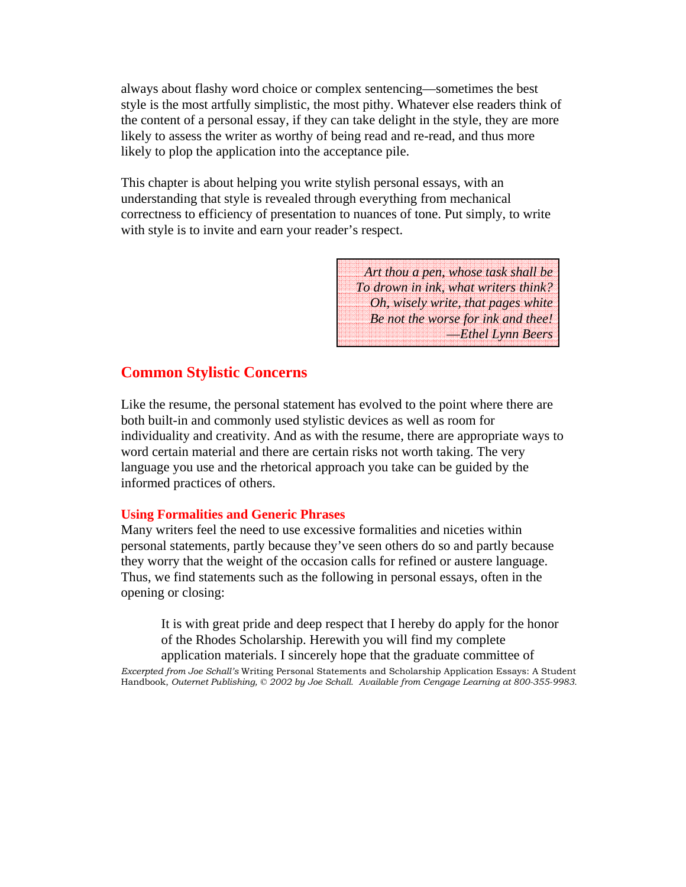always about flashy word choice or complex sentencing—sometimes the best style is the most artfully simplistic, the most pithy. Whatever else readers think of the content of a personal essay, if they can take delight in the style, they are more likely to assess the writer as worthy of being read and re-read, and thus more likely to plop the application into the acceptance pile.

This chapter is about helping you write stylish personal essays, with an understanding that style is revealed through everything from mechanical correctness to efficiency of presentation to nuances of tone. Put simply, to write with style is to invite and earn your reader's respect.

> *Art thou a pen, whose task shall be To drown in ink, what writers think? Oh, wisely write, that pages white Be not the worse for ink and thee!* —*Ethel Lynn Beers*

### **Common Stylistic Concerns**

Like the resume, the personal statement has evolved to the point where there are both built-in and commonly used stylistic devices as well as room for individuality and creativity. And as with the resume, there are appropriate ways to word certain material and there are certain risks not worth taking. The very language you use and the rhetorical approach you take can be guided by the informed practices of others.

#### **Using Formalities and Generic Phrases**

Many writers feel the need to use excessive formalities and niceties within personal statements, partly because they've seen others do so and partly because they worry that the weight of the occasion calls for refined or austere language. Thus, we find statements such as the following in personal essays, often in the opening or closing:

It is with great pride and deep respect that I hereby do apply for the honor of the Rhodes Scholarship. Herewith you will find my complete application materials. I sincerely hope that the graduate committee of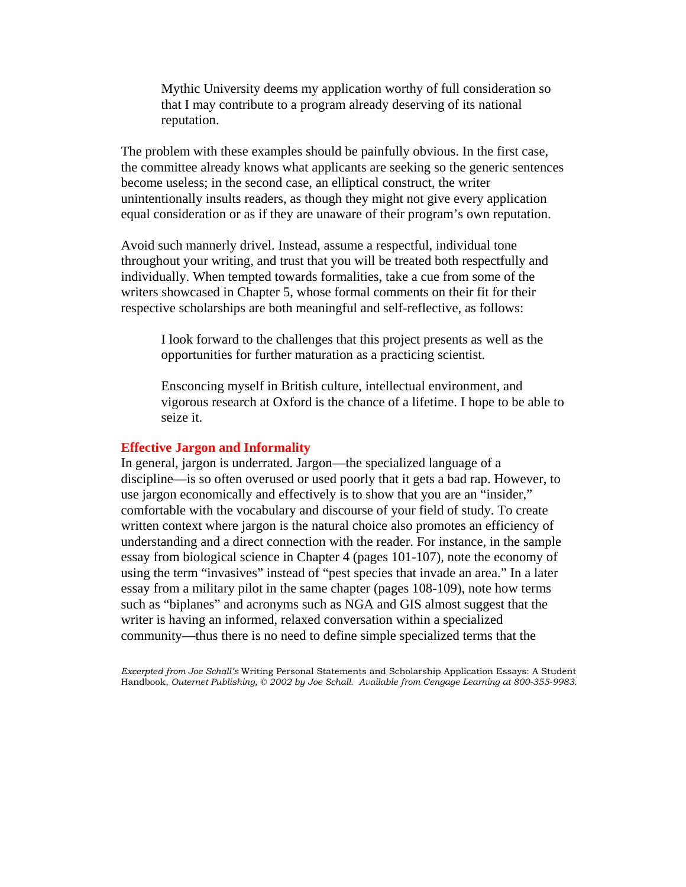Mythic University deems my application worthy of full consideration so that I may contribute to a program already deserving of its national reputation.

The problem with these examples should be painfully obvious. In the first case, the committee already knows what applicants are seeking so the generic sentences become useless; in the second case, an elliptical construct, the writer unintentionally insults readers, as though they might not give every application equal consideration or as if they are unaware of their program's own reputation.

Avoid such mannerly drivel. Instead, assume a respectful, individual tone throughout your writing, and trust that you will be treated both respectfully and individually. When tempted towards formalities, take a cue from some of the writers showcased in Chapter 5, whose formal comments on their fit for their respective scholarships are both meaningful and self-reflective, as follows:

I look forward to the challenges that this project presents as well as the opportunities for further maturation as a practicing scientist.

Ensconcing myself in British culture, intellectual environment, and vigorous research at Oxford is the chance of a lifetime. I hope to be able to seize it.

#### **Effective Jargon and Informality**

In general, jargon is underrated. Jargon—the specialized language of a discipline—is so often overused or used poorly that it gets a bad rap. However, to use jargon economically and effectively is to show that you are an "insider," comfortable with the vocabulary and discourse of your field of study. To create written context where jargon is the natural choice also promotes an efficiency of understanding and a direct connection with the reader. For instance, in the sample essay from biological science in Chapter 4 (pages 101-107), note the economy of using the term "invasives" instead of "pest species that invade an area." In a later essay from a military pilot in the same chapter (pages 108-109), note how terms such as "biplanes" and acronyms such as NGA and GIS almost suggest that the writer is having an informed, relaxed conversation within a specialized community—thus there is no need to define simple specialized terms that the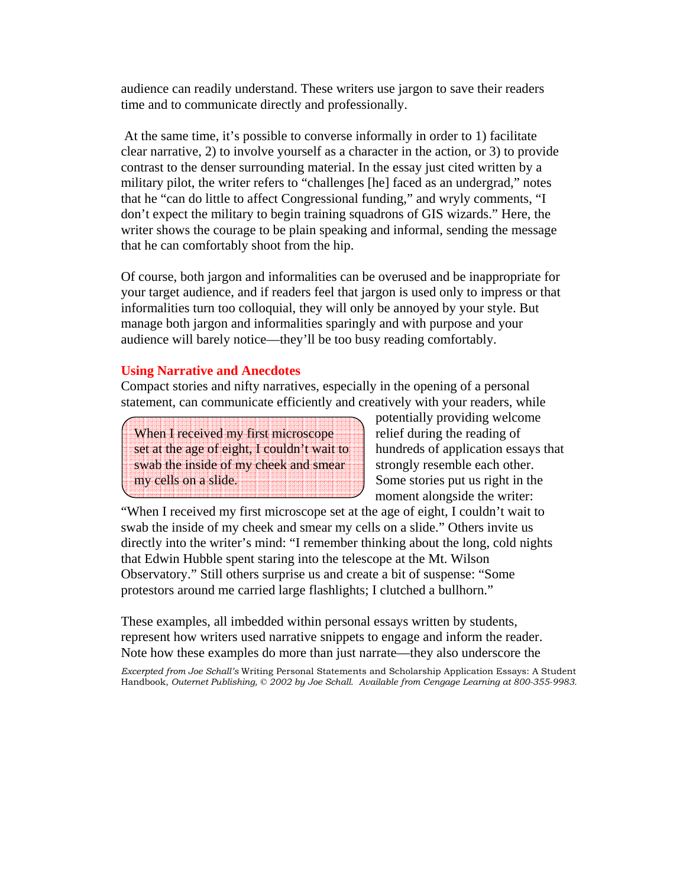audience can readily understand. These writers use jargon to save their readers time and to communicate directly and professionally.

 At the same time, it's possible to converse informally in order to 1) facilitate clear narrative, 2) to involve yourself as a character in the action, or 3) to provide contrast to the denser surrounding material. In the essay just cited written by a military pilot, the writer refers to "challenges [he] faced as an undergrad," notes that he "can do little to affect Congressional funding," and wryly comments, "I don't expect the military to begin training squadrons of GIS wizards." Here, the writer shows the courage to be plain speaking and informal, sending the message that he can comfortably shoot from the hip.

Of course, both jargon and informalities can be overused and be inappropriate for your target audience, and if readers feel that jargon is used only to impress or that informalities turn too colloquial, they will only be annoyed by your style. But manage both jargon and informalities sparingly and with purpose and your audience will barely notice—they'll be too busy reading comfortably.

#### **Using Narrative and Anecdotes**

Compact stories and nifty narratives, especially in the opening of a personal statement, can communicate efficiently and creatively with your readers, while

When I received my first microscope set at the age of eight, I couldn't wait to swab the inside of my cheek and smear my cells on a slide.

potentially providing welcome relief during the reading of hundreds of application essays that strongly resemble each other. Some stories put us right in the moment alongside the writer:

"When I received my first microscope set at the age of eight, I couldn't wait to swab the inside of my cheek and smear my cells on a slide." Others invite us directly into the writer's mind: "I remember thinking about the long, cold nights that Edwin Hubble spent staring into the telescope at the Mt. Wilson Observatory." Still others surprise us and create a bit of suspense: "Some protestors around me carried large flashlights; I clutched a bullhorn."

These examples, all imbedded within personal essays written by students, represent how writers used narrative snippets to engage and inform the reader. Note how these examples do more than just narrate—they also underscore the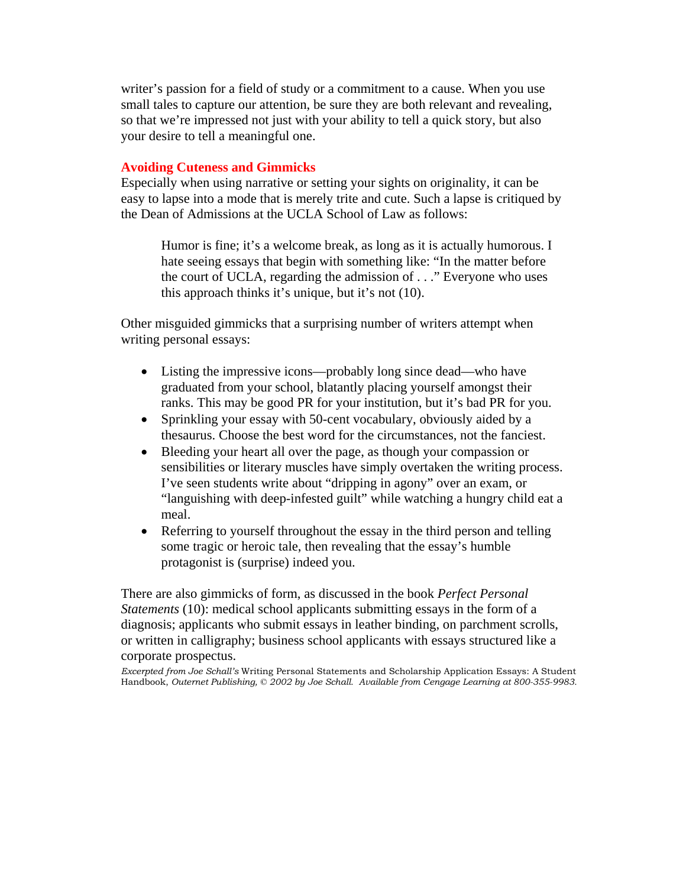writer's passion for a field of study or a commitment to a cause. When you use small tales to capture our attention, be sure they are both relevant and revealing, so that we're impressed not just with your ability to tell a quick story, but also your desire to tell a meaningful one.

#### **Avoiding Cuteness and Gimmicks**

Especially when using narrative or setting your sights on originality, it can be easy to lapse into a mode that is merely trite and cute. Such a lapse is critiqued by the Dean of Admissions at the UCLA School of Law as follows:

Humor is fine; it's a welcome break, as long as it is actually humorous. I hate seeing essays that begin with something like: "In the matter before the court of UCLA, regarding the admission of . . ." Everyone who uses this approach thinks it's unique, but it's not (10).

Other misguided gimmicks that a surprising number of writers attempt when writing personal essays:

- Listing the impressive icons—probably long since dead—who have graduated from your school, blatantly placing yourself amongst their ranks. This may be good PR for your institution, but it's bad PR for you.
- Sprinkling your essay with 50-cent vocabulary, obviously aided by a thesaurus. Choose the best word for the circumstances, not the fanciest.
- Bleeding your heart all over the page, as though your compassion or sensibilities or literary muscles have simply overtaken the writing process. I've seen students write about "dripping in agony" over an exam, or "languishing with deep-infested guilt" while watching a hungry child eat a meal.
- Referring to yourself throughout the essay in the third person and telling some tragic or heroic tale, then revealing that the essay's humble protagonist is (surprise) indeed you.

There are also gimmicks of form, as discussed in the book *Perfect Personal Statements* (10): medical school applicants submitting essays in the form of a diagnosis; applicants who submit essays in leather binding, on parchment scrolls, or written in calligraphy; business school applicants with essays structured like a corporate prospectus.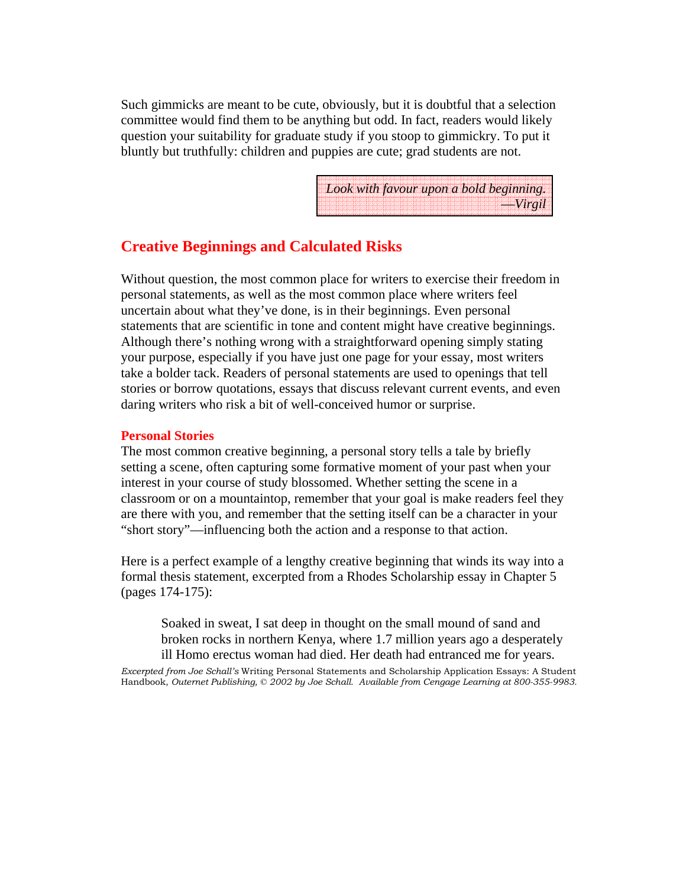Such gimmicks are meant to be cute, obviously, but it is doubtful that a selection committee would find them to be anything but odd. In fact, readers would likely question your suitability for graduate study if you stoop to gimmickry. To put it bluntly but truthfully: children and puppies are cute; grad students are not.

|  | Look with favour upon a bold beginning. |  |  |  |  |  |  |  |  |  |  |  |  |  |  |  |  |  |  |  |  |  |           |  |  |
|--|-----------------------------------------|--|--|--|--|--|--|--|--|--|--|--|--|--|--|--|--|--|--|--|--|--|-----------|--|--|
|  |                                         |  |  |  |  |  |  |  |  |  |  |  |  |  |  |  |  |  |  |  |  |  |           |  |  |
|  |                                         |  |  |  |  |  |  |  |  |  |  |  |  |  |  |  |  |  |  |  |  |  |           |  |  |
|  |                                         |  |  |  |  |  |  |  |  |  |  |  |  |  |  |  |  |  |  |  |  |  | $-Wirgil$ |  |  |
|  |                                         |  |  |  |  |  |  |  |  |  |  |  |  |  |  |  |  |  |  |  |  |  |           |  |  |
|  |                                         |  |  |  |  |  |  |  |  |  |  |  |  |  |  |  |  |  |  |  |  |  |           |  |  |

## **Creative Beginnings and Calculated Risks**

Without question, the most common place for writers to exercise their freedom in personal statements, as well as the most common place where writers feel uncertain about what they've done, is in their beginnings. Even personal statements that are scientific in tone and content might have creative beginnings. Although there's nothing wrong with a straightforward opening simply stating your purpose, especially if you have just one page for your essay, most writers take a bolder tack. Readers of personal statements are used to openings that tell stories or borrow quotations, essays that discuss relevant current events, and even daring writers who risk a bit of well-conceived humor or surprise.

#### **Personal Stories**

The most common creative beginning, a personal story tells a tale by briefly setting a scene, often capturing some formative moment of your past when your interest in your course of study blossomed. Whether setting the scene in a classroom or on a mountaintop, remember that your goal is make readers feel they are there with you, and remember that the setting itself can be a character in your "short story"—influencing both the action and a response to that action.

Here is a perfect example of a lengthy creative beginning that winds its way into a formal thesis statement, excerpted from a Rhodes Scholarship essay in Chapter 5 (pages 174-175):

Soaked in sweat, I sat deep in thought on the small mound of sand and broken rocks in northern Kenya, where 1.7 million years ago a desperately ill Homo erectus woman had died. Her death had entranced me for years.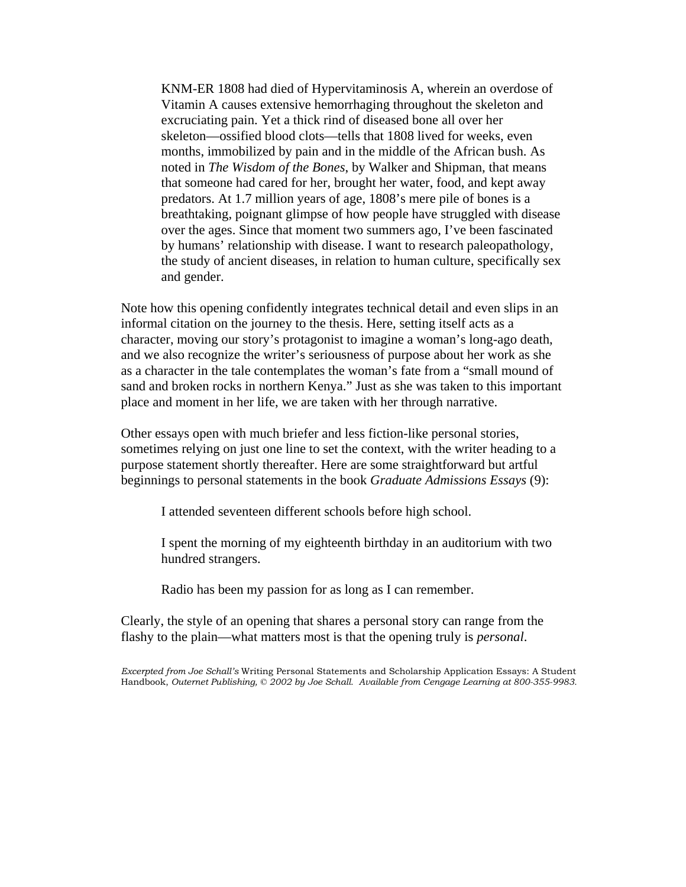KNM-ER 1808 had died of Hypervitaminosis A, wherein an overdose of Vitamin A causes extensive hemorrhaging throughout the skeleton and excruciating pain. Yet a thick rind of diseased bone all over her skeleton—ossified blood clots—tells that 1808 lived for weeks, even months, immobilized by pain and in the middle of the African bush. As noted in *The Wisdom of the Bones*, by Walker and Shipman, that means that someone had cared for her, brought her water, food, and kept away predators. At 1.7 million years of age, 1808's mere pile of bones is a breathtaking, poignant glimpse of how people have struggled with disease over the ages. Since that moment two summers ago, I've been fascinated by humans' relationship with disease. I want to research paleopathology, the study of ancient diseases, in relation to human culture, specifically sex and gender.

Note how this opening confidently integrates technical detail and even slips in an informal citation on the journey to the thesis. Here, setting itself acts as a character, moving our story's protagonist to imagine a woman's long-ago death, and we also recognize the writer's seriousness of purpose about her work as she as a character in the tale contemplates the woman's fate from a "small mound of sand and broken rocks in northern Kenya." Just as she was taken to this important place and moment in her life, we are taken with her through narrative.

Other essays open with much briefer and less fiction-like personal stories, sometimes relying on just one line to set the context, with the writer heading to a purpose statement shortly thereafter. Here are some straightforward but artful beginnings to personal statements in the book *Graduate Admissions Essays* (9):

I attended seventeen different schools before high school.

I spent the morning of my eighteenth birthday in an auditorium with two hundred strangers.

Radio has been my passion for as long as I can remember.

Clearly, the style of an opening that shares a personal story can range from the flashy to the plain—what matters most is that the opening truly is *personal*.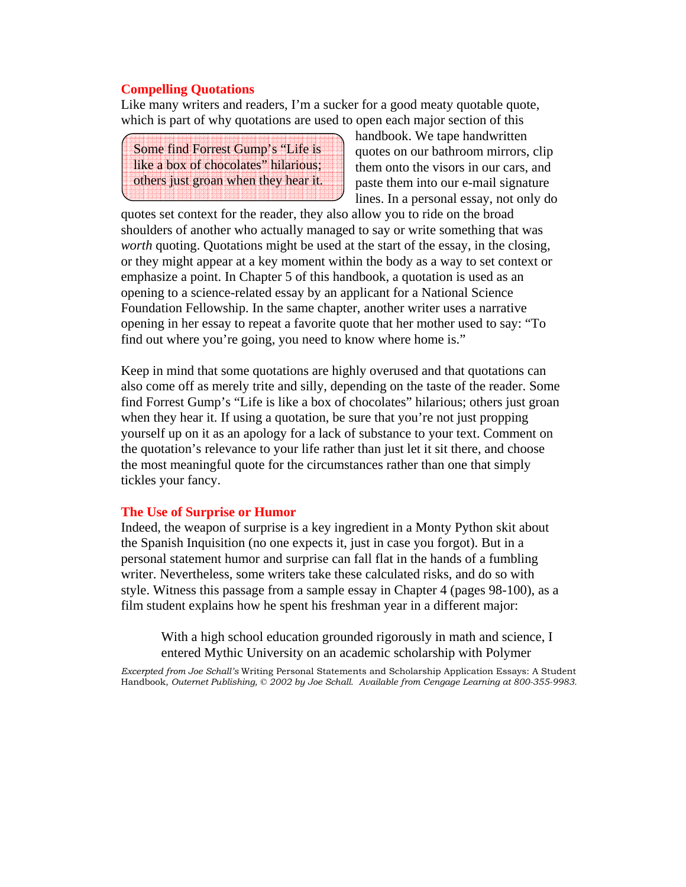#### **Compelling Quotations**

Like many writers and readers, I'm a sucker for a good meaty quotable quote, which is part of why quotations are used to open each major section of this

Some find Forrest Gump's "Life is like a box of chocolates" hilarious; others just groan when they hear it. handbook. We tape handwritten quotes on our bathroom mirrors, clip them onto the visors in our cars, and paste them into our e-mail signature lines. In a personal essay, not only do

quotes set context for the reader, they also allow you to ride on the broad shoulders of another who actually managed to say or write something that was *worth* quoting. Quotations might be used at the start of the essay, in the closing, or they might appear at a key moment within the body as a way to set context or emphasize a point. In Chapter 5 of this handbook, a quotation is used as an opening to a science-related essay by an applicant for a National Science Foundation Fellowship. In the same chapter, another writer uses a narrative opening in her essay to repeat a favorite quote that her mother used to say: "To find out where you're going, you need to know where home is."

Keep in mind that some quotations are highly overused and that quotations can also come off as merely trite and silly, depending on the taste of the reader. Some find Forrest Gump's "Life is like a box of chocolates" hilarious; others just groan when they hear it. If using a quotation, be sure that you're not just propping yourself up on it as an apology for a lack of substance to your text. Comment on the quotation's relevance to your life rather than just let it sit there, and choose the most meaningful quote for the circumstances rather than one that simply tickles your fancy.

#### **The Use of Surprise or Humor**

Indeed, the weapon of surprise is a key ingredient in a Monty Python skit about the Spanish Inquisition (no one expects it, just in case you forgot). But in a personal statement humor and surprise can fall flat in the hands of a fumbling writer. Nevertheless, some writers take these calculated risks, and do so with style. Witness this passage from a sample essay in Chapter 4 (pages 98-100), as a film student explains how he spent his freshman year in a different major:

With a high school education grounded rigorously in math and science, I entered Mythic University on an academic scholarship with Polymer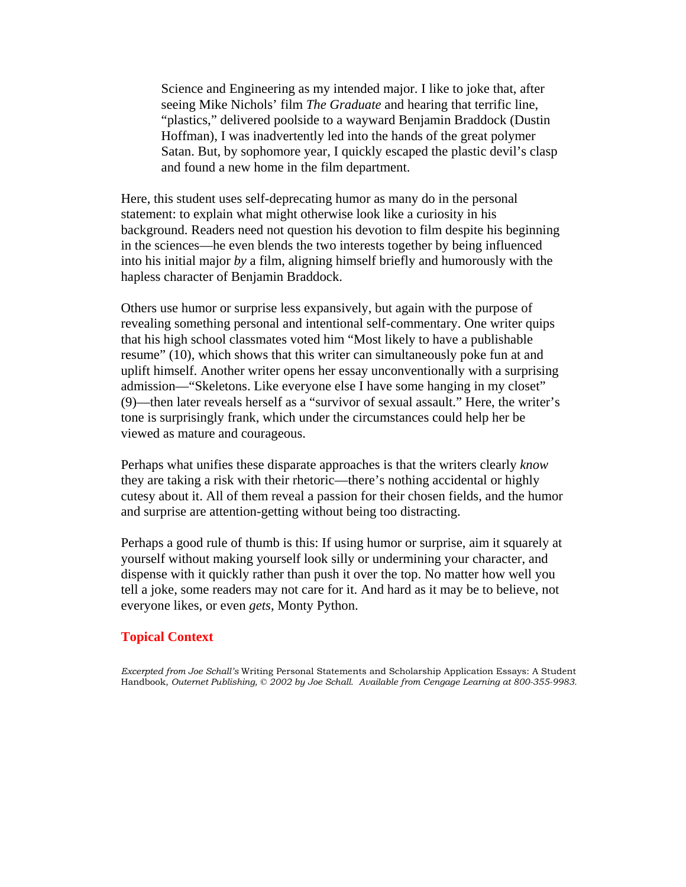Science and Engineering as my intended major. I like to joke that, after seeing Mike Nichols' film *The Graduate* and hearing that terrific line, "plastics," delivered poolside to a wayward Benjamin Braddock (Dustin Hoffman), I was inadvertently led into the hands of the great polymer Satan. But, by sophomore year, I quickly escaped the plastic devil's clasp and found a new home in the film department.

Here, this student uses self-deprecating humor as many do in the personal statement: to explain what might otherwise look like a curiosity in his background. Readers need not question his devotion to film despite his beginning in the sciences—he even blends the two interests together by being influenced into his initial major *by* a film, aligning himself briefly and humorously with the hapless character of Benjamin Braddock.

Others use humor or surprise less expansively, but again with the purpose of revealing something personal and intentional self-commentary. One writer quips that his high school classmates voted him "Most likely to have a publishable resume" (10), which shows that this writer can simultaneously poke fun at and uplift himself. Another writer opens her essay unconventionally with a surprising admission—"Skeletons. Like everyone else I have some hanging in my closet" (9)—then later reveals herself as a "survivor of sexual assault." Here, the writer's tone is surprisingly frank, which under the circumstances could help her be viewed as mature and courageous.

Perhaps what unifies these disparate approaches is that the writers clearly *know* they are taking a risk with their rhetoric—there's nothing accidental or highly cutesy about it. All of them reveal a passion for their chosen fields, and the humor and surprise are attention-getting without being too distracting.

Perhaps a good rule of thumb is this: If using humor or surprise, aim it squarely at yourself without making yourself look silly or undermining your character, and dispense with it quickly rather than push it over the top. No matter how well you tell a joke, some readers may not care for it. And hard as it may be to believe, not everyone likes, or even *gets*, Monty Python.

#### **Topical Context**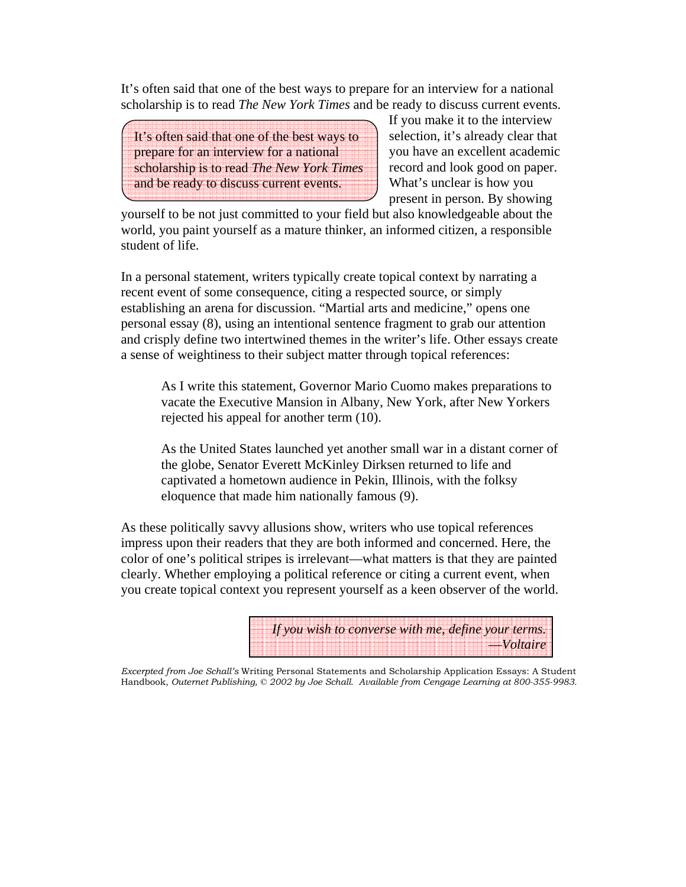It's often said that one of the best ways to prepare for an interview for a national scholarship is to read *The New York Times* and be ready to discuss current events.

It's often said that one of the best ways to prepare for an interview for a national scholarship is to read *The New York Times*  and be ready to discuss current events.

If you make it to the interview selection, it's already clear that you have an excellent academic record and look good on paper. What's unclear is how you present in person. By showing

yourself to be not just committed to your field but also knowledgeable about the world, you paint yourself as a mature thinker, an informed citizen, a responsible student of life.

In a personal statement, writers typically create topical context by narrating a recent event of some consequence, citing a respected source, or simply establishing an arena for discussion. "Martial arts and medicine," opens one personal essay (8), using an intentional sentence fragment to grab our attention and crisply define two intertwined themes in the writer's life. Other essays create a sense of weightiness to their subject matter through topical references:

As I write this statement, Governor Mario Cuomo makes preparations to vacate the Executive Mansion in Albany, New York, after New Yorkers rejected his appeal for another term (10).

As the United States launched yet another small war in a distant corner of the globe, Senator Everett McKinley Dirksen returned to life and captivated a hometown audience in Pekin, Illinois, with the folksy eloquence that made him nationally famous (9).

As these politically savvy allusions show, writers who use topical references impress upon their readers that they are both informed and concerned. Here, the color of one's political stripes is irrelevant—what matters is that they are painted clearly. Whether employing a political reference or citing a current event, when you create topical context you represent yourself as a keen observer of the world.

> *If you wish to converse with me, define your terms.*  —*Voltaire*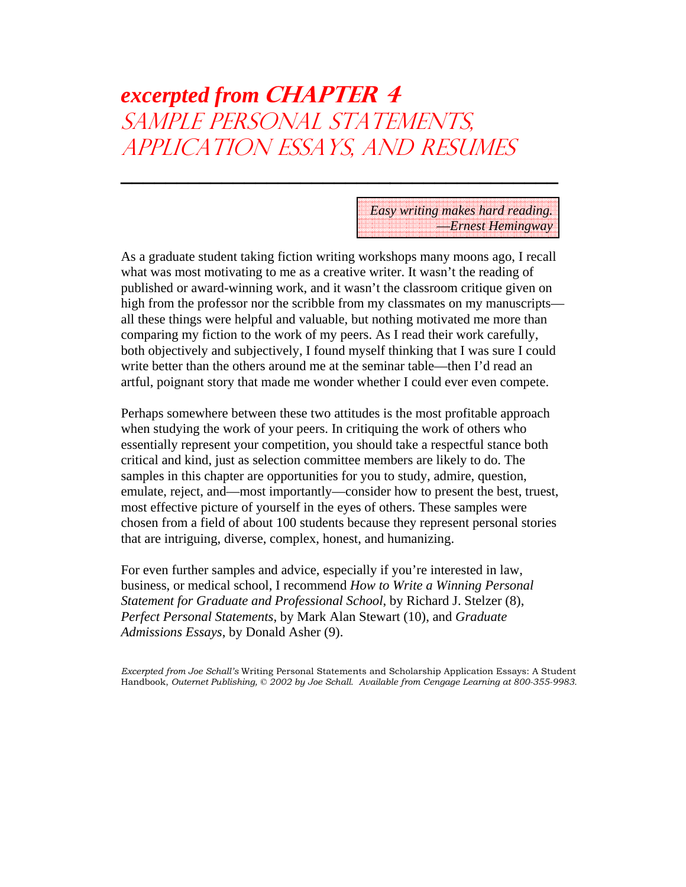# *excerpted from* **CHAPTER 4** SAMPLE PERSONAL STATEMENTS, APPLICATION ESSAYS, AND RESUMES

**\_\_\_\_\_\_\_\_\_\_\_\_\_\_\_\_\_\_\_\_\_\_\_\_\_\_\_\_\_\_\_\_\_\_\_\_\_\_\_**

*Easy writing makes hard reading.* —*Ernest Hemingway*

As a graduate student taking fiction writing workshops many moons ago, I recall what was most motivating to me as a creative writer. It wasn't the reading of published or award-winning work, and it wasn't the classroom critique given on high from the professor nor the scribble from my classmates on my manuscripts all these things were helpful and valuable, but nothing motivated me more than comparing my fiction to the work of my peers. As I read their work carefully, both objectively and subjectively, I found myself thinking that I was sure I could write better than the others around me at the seminar table—then I'd read an artful, poignant story that made me wonder whether I could ever even compete.

Perhaps somewhere between these two attitudes is the most profitable approach when studying the work of your peers. In critiquing the work of others who essentially represent your competition, you should take a respectful stance both critical and kind, just as selection committee members are likely to do. The samples in this chapter are opportunities for you to study, admire, question, emulate, reject, and—most importantly—consider how to present the best, truest, most effective picture of yourself in the eyes of others. These samples were chosen from a field of about 100 students because they represent personal stories that are intriguing, diverse, complex, honest, and humanizing.

For even further samples and advice, especially if you're interested in law, business, or medical school, I recommend *How to Write a Winning Personal Statement for Graduate and Professional School*, by Richard J. Stelzer (8), *Perfect Personal Statements*, by Mark Alan Stewart (10), and *Graduate Admissions Essays*, by Donald Asher (9).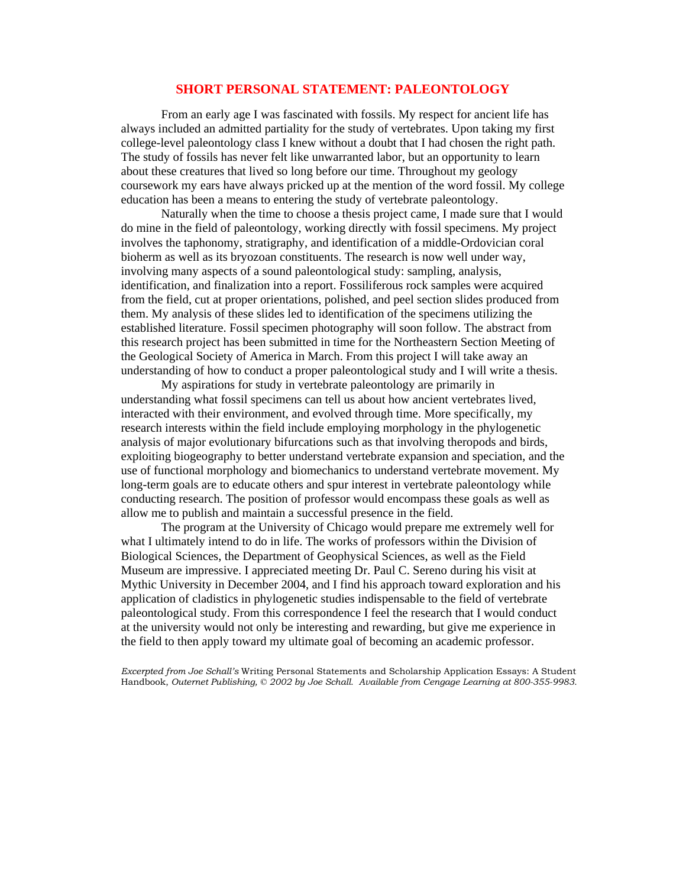#### **SHORT PERSONAL STATEMENT: PALEONTOLOGY**

From an early age I was fascinated with fossils. My respect for ancient life has always included an admitted partiality for the study of vertebrates. Upon taking my first college-level paleontology class I knew without a doubt that I had chosen the right path. The study of fossils has never felt like unwarranted labor, but an opportunity to learn about these creatures that lived so long before our time. Throughout my geology coursework my ears have always pricked up at the mention of the word fossil. My college education has been a means to entering the study of vertebrate paleontology.

Naturally when the time to choose a thesis project came, I made sure that I would do mine in the field of paleontology, working directly with fossil specimens. My project involves the taphonomy, stratigraphy, and identification of a middle-Ordovician coral bioherm as well as its bryozoan constituents. The research is now well under way, involving many aspects of a sound paleontological study: sampling, analysis, identification, and finalization into a report. Fossiliferous rock samples were acquired from the field, cut at proper orientations, polished, and peel section slides produced from them. My analysis of these slides led to identification of the specimens utilizing the established literature. Fossil specimen photography will soon follow. The abstract from this research project has been submitted in time for the Northeastern Section Meeting of the Geological Society of America in March. From this project I will take away an understanding of how to conduct a proper paleontological study and I will write a thesis.

My aspirations for study in vertebrate paleontology are primarily in understanding what fossil specimens can tell us about how ancient vertebrates lived, interacted with their environment, and evolved through time. More specifically, my research interests within the field include employing morphology in the phylogenetic analysis of major evolutionary bifurcations such as that involving theropods and birds, exploiting biogeography to better understand vertebrate expansion and speciation, and the use of functional morphology and biomechanics to understand vertebrate movement. My long-term goals are to educate others and spur interest in vertebrate paleontology while conducting research. The position of professor would encompass these goals as well as allow me to publish and maintain a successful presence in the field.

The program at the University of Chicago would prepare me extremely well for what I ultimately intend to do in life. The works of professors within the Division of Biological Sciences, the Department of Geophysical Sciences, as well as the Field Museum are impressive. I appreciated meeting Dr. Paul C. Sereno during his visit at Mythic University in December 2004, and I find his approach toward exploration and his application of cladistics in phylogenetic studies indispensable to the field of vertebrate paleontological study. From this correspondence I feel the research that I would conduct at the university would not only be interesting and rewarding, but give me experience in the field to then apply toward my ultimate goal of becoming an academic professor.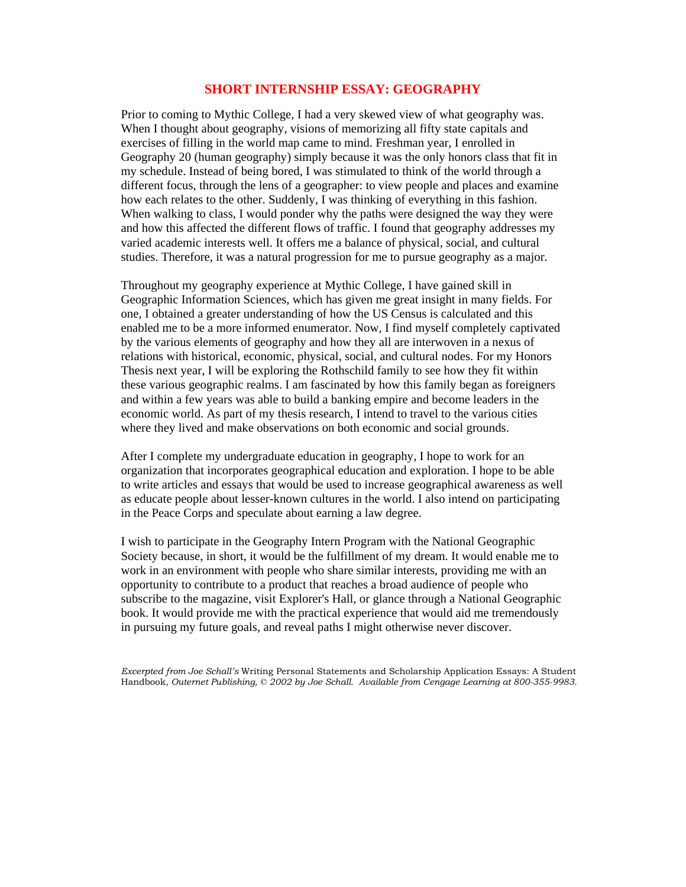#### **SHORT INTERNSHIP ESSAY: GEOGRAPHY**

Prior to coming to Mythic College, I had a very skewed view of what geography was. When I thought about geography, visions of memorizing all fifty state capitals and exercises of filling in the world map came to mind. Freshman year, I enrolled in Geography 20 (human geography) simply because it was the only honors class that fit in my schedule. Instead of being bored, I was stimulated to think of the world through a different focus, through the lens of a geographer: to view people and places and examine how each relates to the other. Suddenly, I was thinking of everything in this fashion. When walking to class, I would ponder why the paths were designed the way they were and how this affected the different flows of traffic. I found that geography addresses my varied academic interests well. It offers me a balance of physical, social, and cultural studies. Therefore, it was a natural progression for me to pursue geography as a major.

Throughout my geography experience at Mythic College, I have gained skill in Geographic Information Sciences, which has given me great insight in many fields. For one, I obtained a greater understanding of how the US Census is calculated and this enabled me to be a more informed enumerator. Now, I find myself completely captivated by the various elements of geography and how they all are interwoven in a nexus of relations with historical, economic, physical, social, and cultural nodes. For my Honors Thesis next year, I will be exploring the Rothschild family to see how they fit within these various geographic realms. I am fascinated by how this family began as foreigners and within a few years was able to build a banking empire and become leaders in the economic world. As part of my thesis research, I intend to travel to the various cities where they lived and make observations on both economic and social grounds.

After I complete my undergraduate education in geography, I hope to work for an organization that incorporates geographical education and exploration. I hope to be able to write articles and essays that would be used to increase geographical awareness as well as educate people about lesser-known cultures in the world. I also intend on participating in the Peace Corps and speculate about earning a law degree.

I wish to participate in the Geography Intern Program with the National Geographic Society because, in short, it would be the fulfillment of my dream. It would enable me to work in an environment with people who share similar interests, providing me with an opportunity to contribute to a product that reaches a broad audience of people who subscribe to the magazine, visit Explorer's Hall, or glance through a National Geographic book. It would provide me with the practical experience that would aid me tremendously in pursuing my future goals, and reveal paths I might otherwise never discover.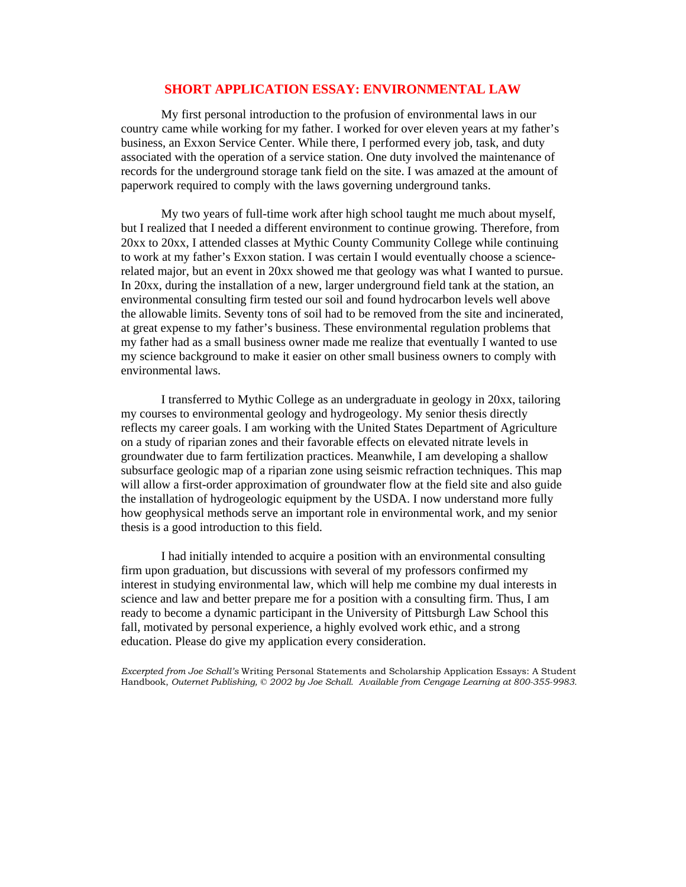#### **SHORT APPLICATION ESSAY: ENVIRONMENTAL LAW**

 My first personal introduction to the profusion of environmental laws in our country came while working for my father. I worked for over eleven years at my father's business, an Exxon Service Center. While there, I performed every job, task, and duty associated with the operation of a service station. One duty involved the maintenance of records for the underground storage tank field on the site. I was amazed at the amount of paperwork required to comply with the laws governing underground tanks.

 My two years of full-time work after high school taught me much about myself, but I realized that I needed a different environment to continue growing. Therefore, from 20xx to 20xx, I attended classes at Mythic County Community College while continuing to work at my father's Exxon station. I was certain I would eventually choose a sciencerelated major, but an event in 20xx showed me that geology was what I wanted to pursue. In 20xx, during the installation of a new, larger underground field tank at the station, an environmental consulting firm tested our soil and found hydrocarbon levels well above the allowable limits. Seventy tons of soil had to be removed from the site and incinerated, at great expense to my father's business. These environmental regulation problems that my father had as a small business owner made me realize that eventually I wanted to use my science background to make it easier on other small business owners to comply with environmental laws.

 I transferred to Mythic College as an undergraduate in geology in 20xx, tailoring my courses to environmental geology and hydrogeology. My senior thesis directly reflects my career goals. I am working with the United States Department of Agriculture on a study of riparian zones and their favorable effects on elevated nitrate levels in groundwater due to farm fertilization practices. Meanwhile, I am developing a shallow subsurface geologic map of a riparian zone using seismic refraction techniques. This map will allow a first-order approximation of groundwater flow at the field site and also guide the installation of hydrogeologic equipment by the USDA. I now understand more fully how geophysical methods serve an important role in environmental work, and my senior thesis is a good introduction to this field.

 I had initially intended to acquire a position with an environmental consulting firm upon graduation, but discussions with several of my professors confirmed my interest in studying environmental law, which will help me combine my dual interests in science and law and better prepare me for a position with a consulting firm. Thus, I am ready to become a dynamic participant in the University of Pittsburgh Law School this fall, motivated by personal experience, a highly evolved work ethic, and a strong education. Please do give my application every consideration.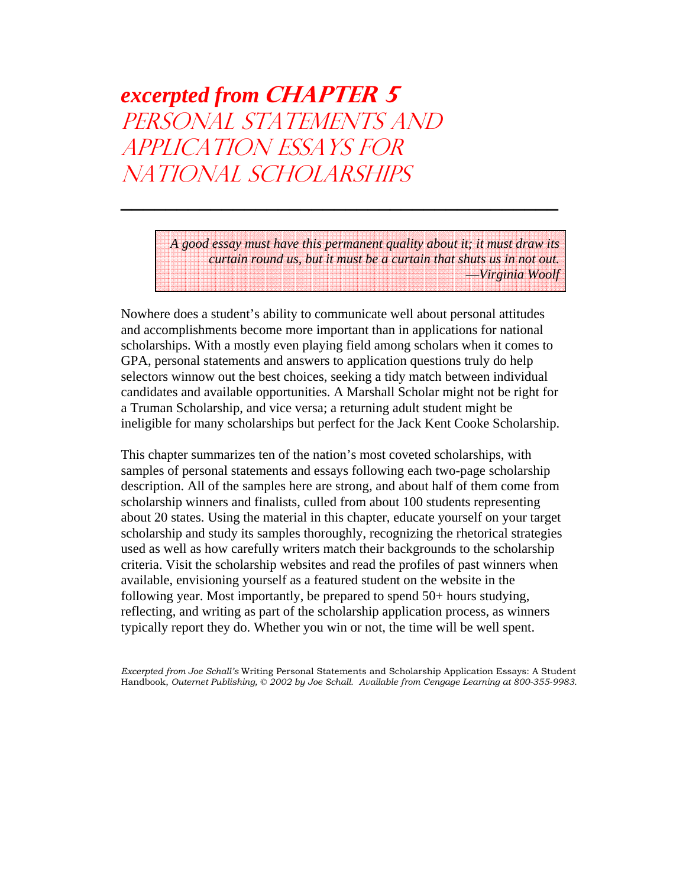# *excerpted from* **CHAPTER 5** PERSONAL STATEMENTS AND APPLICATION ESSAYS FOR NATIONAL SCHOLARSHIPS

*A good essay must have this permanent quality about it; it must draw its curtain round us, but it must be a curtain that shuts us in not out.* —*Virginia Woolf*

Nowhere does a student's ability to communicate well about personal attitudes and accomplishments become more important than in applications for national scholarships. With a mostly even playing field among scholars when it comes to GPA, personal statements and answers to application questions truly do help selectors winnow out the best choices, seeking a tidy match between individual candidates and available opportunities. A Marshall Scholar might not be right for a Truman Scholarship, and vice versa; a returning adult student might be ineligible for many scholarships but perfect for the Jack Kent Cooke Scholarship.

**\_\_\_\_\_\_\_\_\_\_\_\_\_\_\_\_\_\_\_\_\_\_\_\_\_\_\_\_\_\_\_\_\_\_\_\_\_\_\_**

This chapter summarizes ten of the nation's most coveted scholarships, with samples of personal statements and essays following each two-page scholarship description. All of the samples here are strong, and about half of them come from scholarship winners and finalists, culled from about 100 students representing about 20 states. Using the material in this chapter, educate yourself on your target scholarship and study its samples thoroughly, recognizing the rhetorical strategies used as well as how carefully writers match their backgrounds to the scholarship criteria. Visit the scholarship websites and read the profiles of past winners when available, envisioning yourself as a featured student on the website in the following year. Most importantly, be prepared to spend 50+ hours studying, reflecting, and writing as part of the scholarship application process, as winners typically report they do. Whether you win or not, the time will be well spent.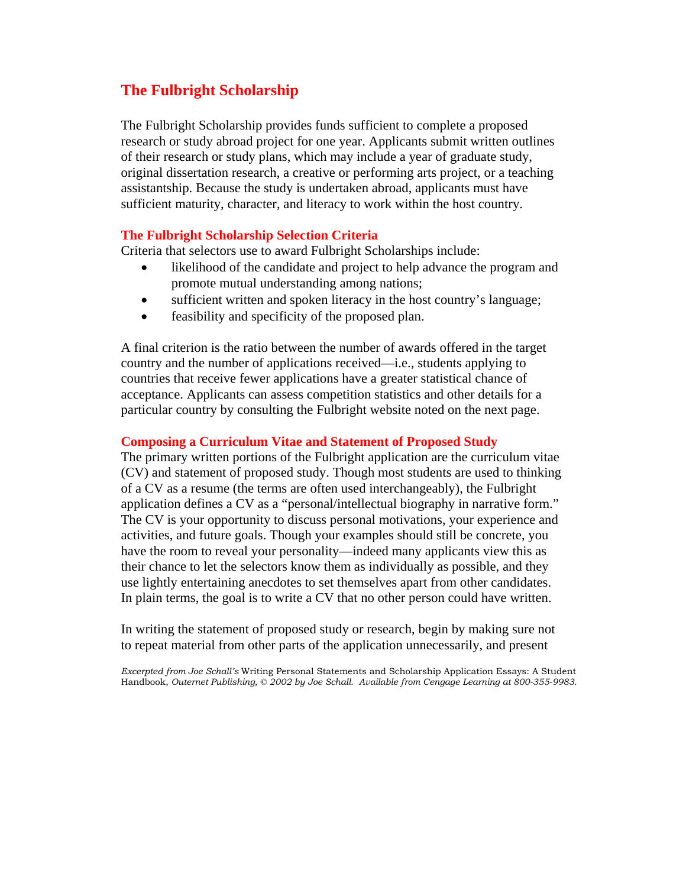# **The Fulbright Scholarship**

The Fulbright Scholarship provides funds sufficient to complete a proposed research or study abroad project for one year. Applicants submit written outlines of their research or study plans, which may include a year of graduate study, original dissertation research, a creative or performing arts project, or a teaching assistantship. Because the study is undertaken abroad, applicants must have sufficient maturity, character, and literacy to work within the host country.

## **The Fulbright Scholarship Selection Criteria**

Criteria that selectors use to award Fulbright Scholarships include:

- likelihood of the candidate and project to help advance the program and promote mutual understanding among nations;
- sufficient written and spoken literacy in the host country's language;
- feasibility and specificity of the proposed plan.

A final criterion is the ratio between the number of awards offered in the target country and the number of applications received—i.e., students applying to countries that receive fewer applications have a greater statistical chance of acceptance. Applicants can assess competition statistics and other details for a particular country by consulting the Fulbright website noted on the next page.

### **Composing a Curriculum Vitae and Statement of Proposed Study**

The primary written portions of the Fulbright application are the curriculum vitae (CV) and statement of proposed study. Though most students are used to thinking of a CV as a resume (the terms are often used interchangeably), the Fulbright application defines a CV as a "personal/intellectual biography in narrative form." The CV is your opportunity to discuss personal motivations, your experience and activities, and future goals. Though your examples should still be concrete, you have the room to reveal your personality—indeed many applicants view this as their chance to let the selectors know them as individually as possible, and they use lightly entertaining anecdotes to set themselves apart from other candidates. In plain terms, the goal is to write a CV that no other person could have written.

In writing the statement of proposed study or research, begin by making sure not to repeat material from other parts of the application unnecessarily, and present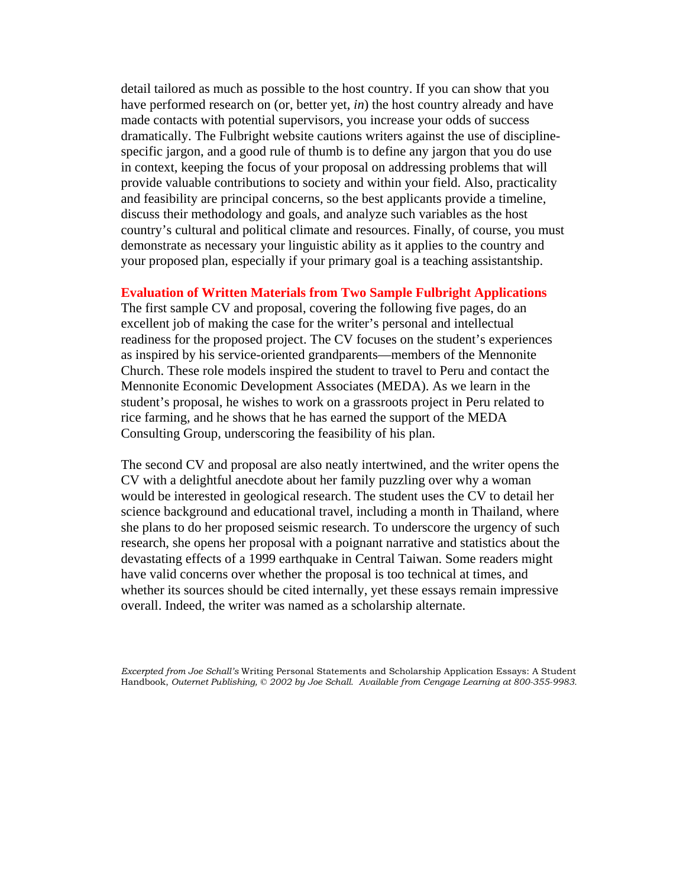detail tailored as much as possible to the host country. If you can show that you have performed research on (or, better yet, *in*) the host country already and have made contacts with potential supervisors, you increase your odds of success dramatically. The Fulbright website cautions writers against the use of disciplinespecific jargon, and a good rule of thumb is to define any jargon that you do use in context, keeping the focus of your proposal on addressing problems that will provide valuable contributions to society and within your field. Also, practicality and feasibility are principal concerns, so the best applicants provide a timeline, discuss their methodology and goals, and analyze such variables as the host country's cultural and political climate and resources. Finally, of course, you must demonstrate as necessary your linguistic ability as it applies to the country and your proposed plan, especially if your primary goal is a teaching assistantship.

#### **Evaluation of Written Materials from Two Sample Fulbright Applications**

The first sample CV and proposal, covering the following five pages, do an excellent job of making the case for the writer's personal and intellectual readiness for the proposed project. The CV focuses on the student's experiences as inspired by his service-oriented grandparents—members of the Mennonite Church. These role models inspired the student to travel to Peru and contact the Mennonite Economic Development Associates (MEDA). As we learn in the student's proposal, he wishes to work on a grassroots project in Peru related to rice farming, and he shows that he has earned the support of the MEDA Consulting Group, underscoring the feasibility of his plan.

The second CV and proposal are also neatly intertwined, and the writer opens the CV with a delightful anecdote about her family puzzling over why a woman would be interested in geological research. The student uses the CV to detail her science background and educational travel, including a month in Thailand, where she plans to do her proposed seismic research. To underscore the urgency of such research, she opens her proposal with a poignant narrative and statistics about the devastating effects of a 1999 earthquake in Central Taiwan. Some readers might have valid concerns over whether the proposal is too technical at times, and whether its sources should be cited internally, yet these essays remain impressive overall. Indeed, the writer was named as a scholarship alternate.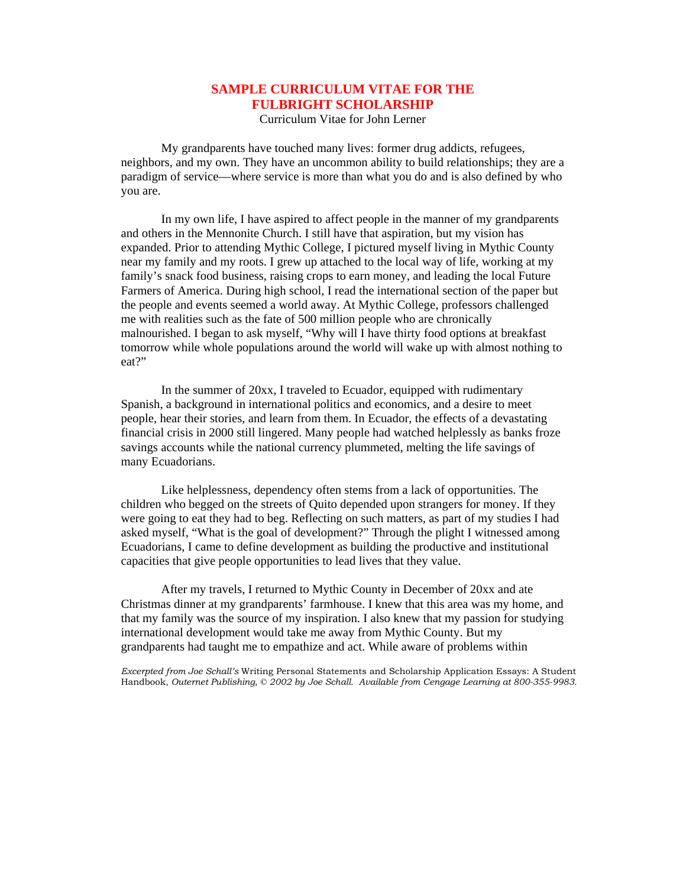## **SAMPLE CURRICULUM VITAE FOR THE FULBRIGHT SCHOLARSHIP**

Curriculum Vitae for John Lerner

 My grandparents have touched many lives: former drug addicts, refugees, neighbors, and my own. They have an uncommon ability to build relationships; they are a paradigm of service—where service is more than what you do and is also defined by who you are.

 In my own life, I have aspired to affect people in the manner of my grandparents and others in the Mennonite Church. I still have that aspiration, but my vision has expanded. Prior to attending Mythic College, I pictured myself living in Mythic County near my family and my roots. I grew up attached to the local way of life, working at my family's snack food business, raising crops to earn money, and leading the local Future Farmers of America. During high school, I read the international section of the paper but the people and events seemed a world away. At Mythic College, professors challenged me with realities such as the fate of 500 million people who are chronically malnourished. I began to ask myself, "Why will I have thirty food options at breakfast tomorrow while whole populations around the world will wake up with almost nothing to eat?"

 In the summer of 20xx, I traveled to Ecuador, equipped with rudimentary Spanish, a background in international politics and economics, and a desire to meet people, hear their stories, and learn from them. In Ecuador, the effects of a devastating financial crisis in 2000 still lingered. Many people had watched helplessly as banks froze savings accounts while the national currency plummeted, melting the life savings of many Ecuadorians.

 Like helplessness, dependency often stems from a lack of opportunities. The children who begged on the streets of Quito depended upon strangers for money. If they were going to eat they had to beg. Reflecting on such matters, as part of my studies I had asked myself, "What is the goal of development?" Through the plight I witnessed among Ecuadorians, I came to define development as building the productive and institutional capacities that give people opportunities to lead lives that they value.

 After my travels, I returned to Mythic County in December of 20xx and ate Christmas dinner at my grandparents' farmhouse. I knew that this area was my home, and that my family was the source of my inspiration. I also knew that my passion for studying international development would take me away from Mythic County. But my grandparents had taught me to empathize and act. While aware of problems within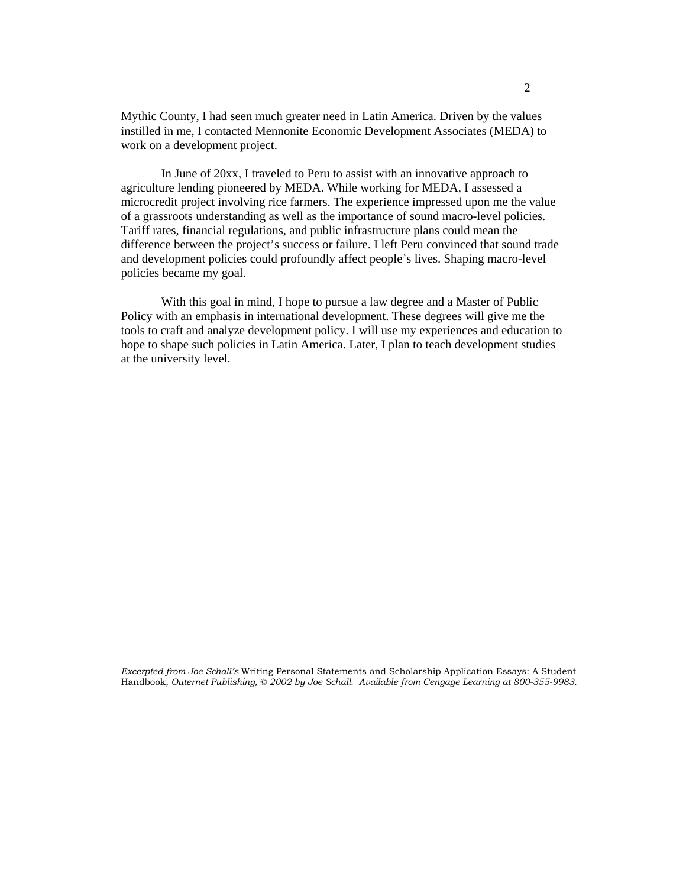Mythic County, I had seen much greater need in Latin America. Driven by the values instilled in me, I contacted Mennonite Economic Development Associates (MEDA) to work on a development project.

 In June of 20xx, I traveled to Peru to assist with an innovative approach to agriculture lending pioneered by MEDA. While working for MEDA, I assessed a microcredit project involving rice farmers. The experience impressed upon me the value of a grassroots understanding as well as the importance of sound macro-level policies. Tariff rates, financial regulations, and public infrastructure plans could mean the difference between the project's success or failure. I left Peru convinced that sound trade and development policies could profoundly affect people's lives. Shaping macro-level policies became my goal.

 With this goal in mind, I hope to pursue a law degree and a Master of Public Policy with an emphasis in international development. These degrees will give me the tools to craft and analyze development policy. I will use my experiences and education to hope to shape such policies in Latin America. Later, I plan to teach development studies at the university level.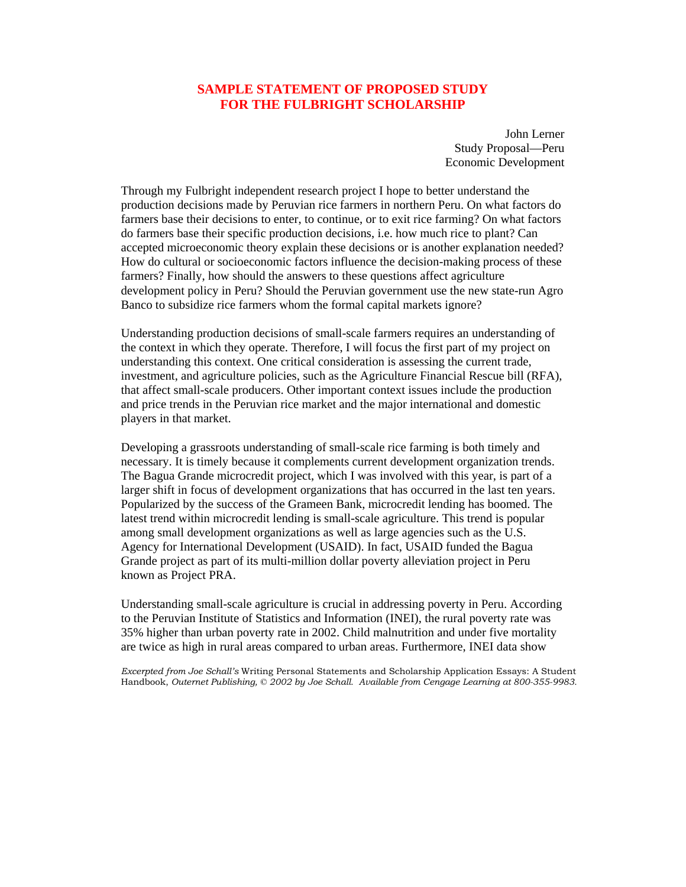### **SAMPLE STATEMENT OF PROPOSED STUDY FOR THE FULBRIGHT SCHOLARSHIP**

John Lerner Study Proposal—Peru Economic Development

Through my Fulbright independent research project I hope to better understand the production decisions made by Peruvian rice farmers in northern Peru. On what factors do farmers base their decisions to enter, to continue, or to exit rice farming? On what factors do farmers base their specific production decisions, i.e. how much rice to plant? Can accepted microeconomic theory explain these decisions or is another explanation needed? How do cultural or socioeconomic factors influence the decision-making process of these farmers? Finally, how should the answers to these questions affect agriculture development policy in Peru? Should the Peruvian government use the new state-run Agro Banco to subsidize rice farmers whom the formal capital markets ignore?

Understanding production decisions of small-scale farmers requires an understanding of the context in which they operate. Therefore, I will focus the first part of my project on understanding this context. One critical consideration is assessing the current trade, investment, and agriculture policies, such as the Agriculture Financial Rescue bill (RFA), that affect small-scale producers. Other important context issues include the production and price trends in the Peruvian rice market and the major international and domestic players in that market.

Developing a grassroots understanding of small-scale rice farming is both timely and necessary. It is timely because it complements current development organization trends. The Bagua Grande microcredit project, which I was involved with this year, is part of a larger shift in focus of development organizations that has occurred in the last ten years. Popularized by the success of the Grameen Bank, microcredit lending has boomed. The latest trend within microcredit lending is small-scale agriculture. This trend is popular among small development organizations as well as large agencies such as the U.S. Agency for International Development (USAID). In fact, USAID funded the Bagua Grande project as part of its multi-million dollar poverty alleviation project in Peru known as Project PRA.

Understanding small-scale agriculture is crucial in addressing poverty in Peru. According to the Peruvian Institute of Statistics and Information (INEI), the rural poverty rate was 35% higher than urban poverty rate in 2002. Child malnutrition and under five mortality are twice as high in rural areas compared to urban areas. Furthermore, INEI data show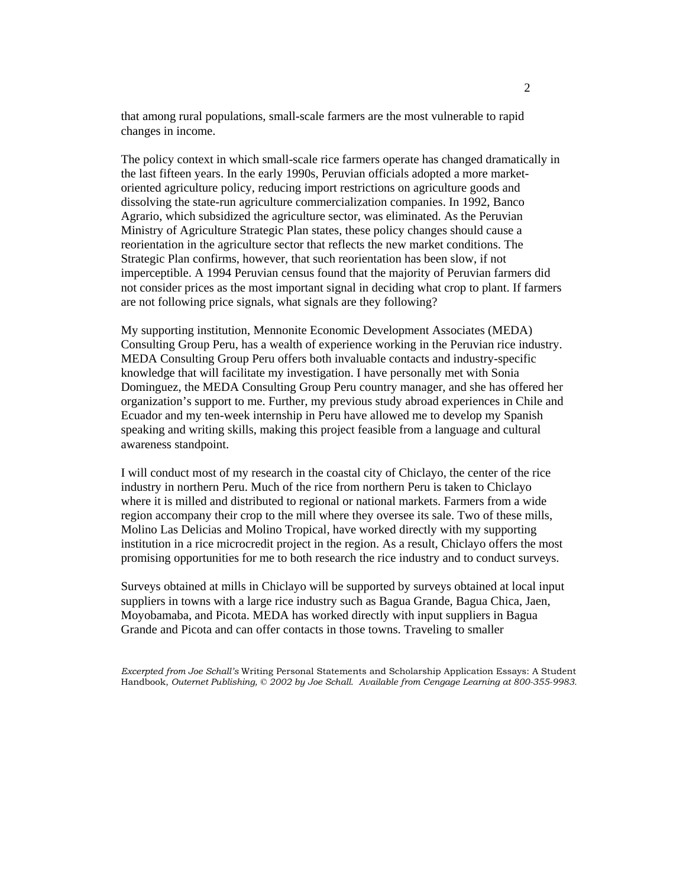that among rural populations, small-scale farmers are the most vulnerable to rapid changes in income.

The policy context in which small-scale rice farmers operate has changed dramatically in the last fifteen years. In the early 1990s, Peruvian officials adopted a more marketoriented agriculture policy, reducing import restrictions on agriculture goods and dissolving the state-run agriculture commercialization companies. In 1992, Banco Agrario, which subsidized the agriculture sector, was eliminated. As the Peruvian Ministry of Agriculture Strategic Plan states, these policy changes should cause a reorientation in the agriculture sector that reflects the new market conditions. The Strategic Plan confirms, however, that such reorientation has been slow, if not imperceptible. A 1994 Peruvian census found that the majority of Peruvian farmers did not consider prices as the most important signal in deciding what crop to plant. If farmers are not following price signals, what signals are they following?

My supporting institution, Mennonite Economic Development Associates (MEDA) Consulting Group Peru, has a wealth of experience working in the Peruvian rice industry. MEDA Consulting Group Peru offers both invaluable contacts and industry-specific knowledge that will facilitate my investigation. I have personally met with Sonia Dominguez, the MEDA Consulting Group Peru country manager, and she has offered her organization's support to me. Further, my previous study abroad experiences in Chile and Ecuador and my ten-week internship in Peru have allowed me to develop my Spanish speaking and writing skills, making this project feasible from a language and cultural awareness standpoint.

I will conduct most of my research in the coastal city of Chiclayo, the center of the rice industry in northern Peru. Much of the rice from northern Peru is taken to Chiclayo where it is milled and distributed to regional or national markets. Farmers from a wide region accompany their crop to the mill where they oversee its sale. Two of these mills, Molino Las Delicias and Molino Tropical, have worked directly with my supporting institution in a rice microcredit project in the region. As a result, Chiclayo offers the most promising opportunities for me to both research the rice industry and to conduct surveys.

Surveys obtained at mills in Chiclayo will be supported by surveys obtained at local input suppliers in towns with a large rice industry such as Bagua Grande, Bagua Chica, Jaen, Moyobamaba, and Picota. MEDA has worked directly with input suppliers in Bagua Grande and Picota and can offer contacts in those towns. Traveling to smaller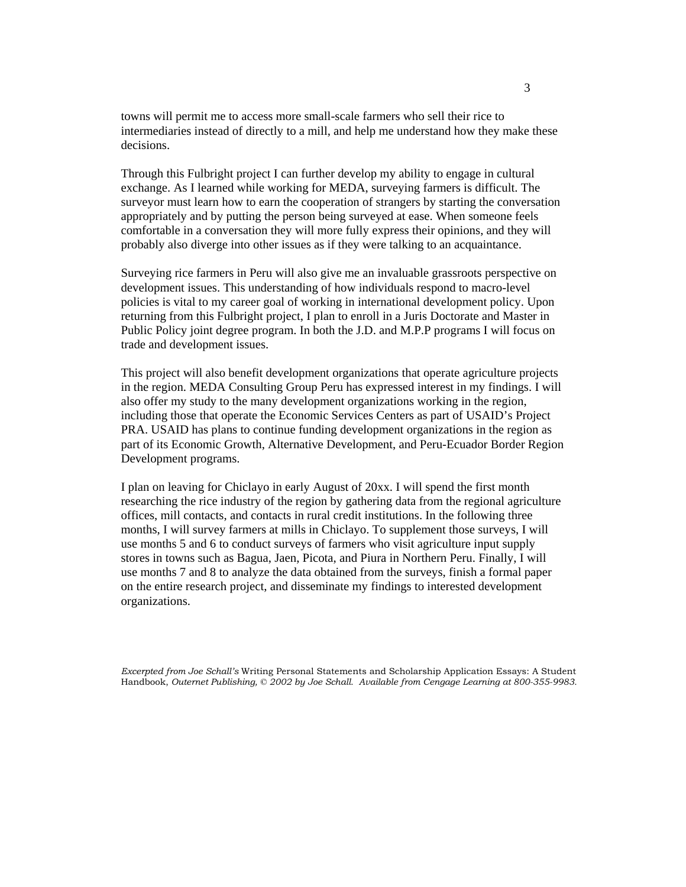towns will permit me to access more small-scale farmers who sell their rice to intermediaries instead of directly to a mill, and help me understand how they make these decisions.

Through this Fulbright project I can further develop my ability to engage in cultural exchange. As I learned while working for MEDA, surveying farmers is difficult. The surveyor must learn how to earn the cooperation of strangers by starting the conversation appropriately and by putting the person being surveyed at ease. When someone feels comfortable in a conversation they will more fully express their opinions, and they will probably also diverge into other issues as if they were talking to an acquaintance.

Surveying rice farmers in Peru will also give me an invaluable grassroots perspective on development issues. This understanding of how individuals respond to macro-level policies is vital to my career goal of working in international development policy. Upon returning from this Fulbright project, I plan to enroll in a Juris Doctorate and Master in Public Policy joint degree program. In both the J.D. and M.P.P programs I will focus on trade and development issues.

This project will also benefit development organizations that operate agriculture projects in the region. MEDA Consulting Group Peru has expressed interest in my findings. I will also offer my study to the many development organizations working in the region, including those that operate the Economic Services Centers as part of USAID's Project PRA. USAID has plans to continue funding development organizations in the region as part of its Economic Growth, Alternative Development, and Peru-Ecuador Border Region Development programs.

I plan on leaving for Chiclayo in early August of 20xx. I will spend the first month researching the rice industry of the region by gathering data from the regional agriculture offices, mill contacts, and contacts in rural credit institutions. In the following three months, I will survey farmers at mills in Chiclayo. To supplement those surveys, I will use months 5 and 6 to conduct surveys of farmers who visit agriculture input supply stores in towns such as Bagua, Jaen, Picota, and Piura in Northern Peru. Finally, I will use months 7 and 8 to analyze the data obtained from the surveys, finish a formal paper on the entire research project, and disseminate my findings to interested development organizations.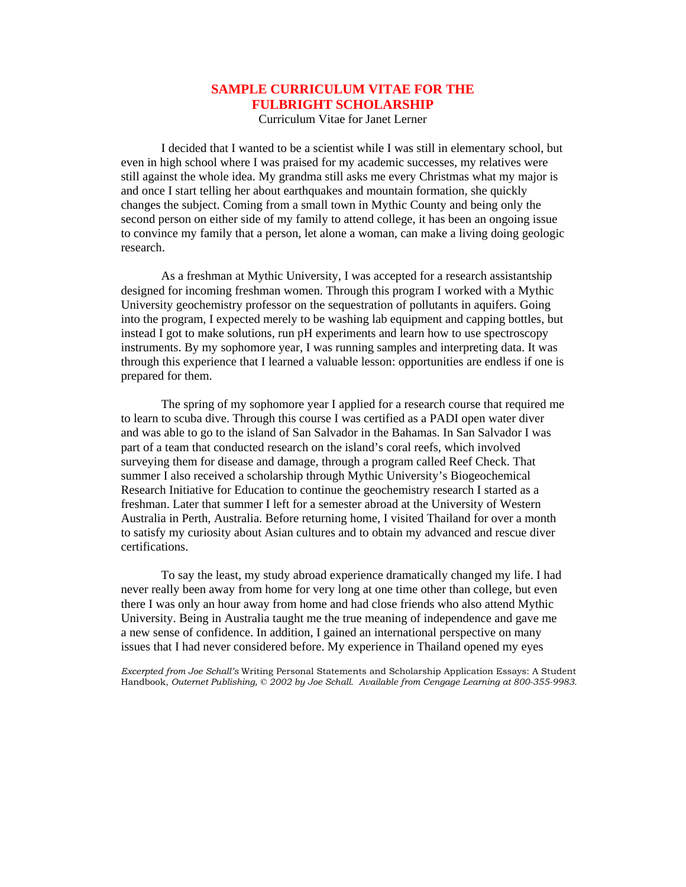# **SAMPLE CURRICULUM VITAE FOR THE FULBRIGHT SCHOLARSHIP**

Curriculum Vitae for Janet Lerner

 I decided that I wanted to be a scientist while I was still in elementary school, but even in high school where I was praised for my academic successes, my relatives were still against the whole idea. My grandma still asks me every Christmas what my major is and once I start telling her about earthquakes and mountain formation, she quickly changes the subject. Coming from a small town in Mythic County and being only the second person on either side of my family to attend college, it has been an ongoing issue to convince my family that a person, let alone a woman, can make a living doing geologic research.

 As a freshman at Mythic University, I was accepted for a research assistantship designed for incoming freshman women. Through this program I worked with a Mythic University geochemistry professor on the sequestration of pollutants in aquifers. Going into the program, I expected merely to be washing lab equipment and capping bottles, but instead I got to make solutions, run pH experiments and learn how to use spectroscopy instruments. By my sophomore year, I was running samples and interpreting data. It was through this experience that I learned a valuable lesson: opportunities are endless if one is prepared for them.

 The spring of my sophomore year I applied for a research course that required me to learn to scuba dive. Through this course I was certified as a PADI open water diver and was able to go to the island of San Salvador in the Bahamas. In San Salvador I was part of a team that conducted research on the island's coral reefs, which involved surveying them for disease and damage, through a program called Reef Check. That summer I also received a scholarship through Mythic University's Biogeochemical Research Initiative for Education to continue the geochemistry research I started as a freshman. Later that summer I left for a semester abroad at the University of Western Australia in Perth, Australia. Before returning home, I visited Thailand for over a month to satisfy my curiosity about Asian cultures and to obtain my advanced and rescue diver certifications.

 To say the least, my study abroad experience dramatically changed my life. I had never really been away from home for very long at one time other than college, but even there I was only an hour away from home and had close friends who also attend Mythic University. Being in Australia taught me the true meaning of independence and gave me a new sense of confidence. In addition, I gained an international perspective on many issues that I had never considered before. My experience in Thailand opened my eyes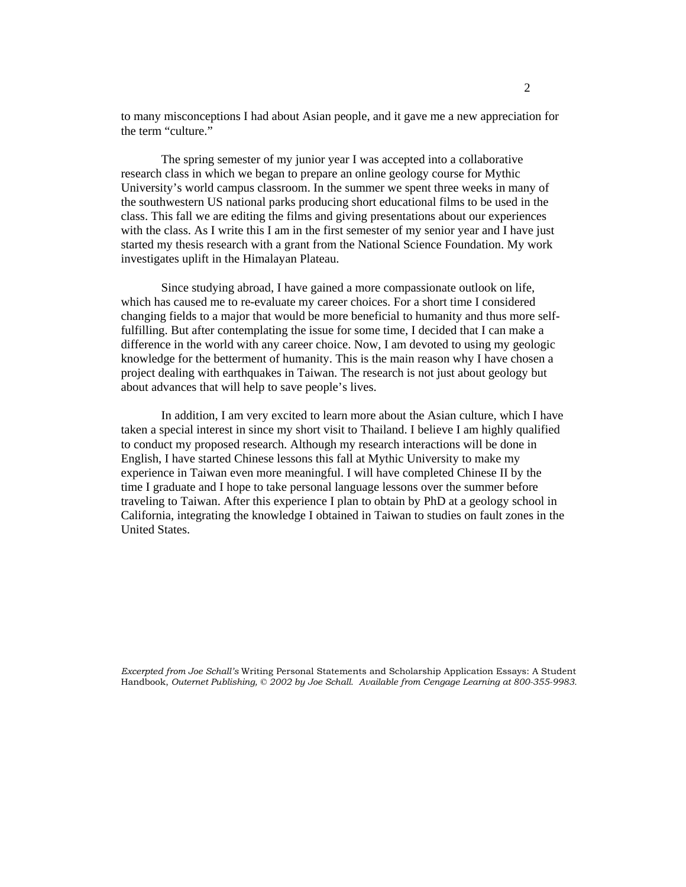to many misconceptions I had about Asian people, and it gave me a new appreciation for the term "culture."

 The spring semester of my junior year I was accepted into a collaborative research class in which we began to prepare an online geology course for Mythic University's world campus classroom. In the summer we spent three weeks in many of the southwestern US national parks producing short educational films to be used in the class. This fall we are editing the films and giving presentations about our experiences with the class. As I write this I am in the first semester of my senior year and I have just started my thesis research with a grant from the National Science Foundation. My work investigates uplift in the Himalayan Plateau.

 Since studying abroad, I have gained a more compassionate outlook on life, which has caused me to re-evaluate my career choices. For a short time I considered changing fields to a major that would be more beneficial to humanity and thus more selffulfilling. But after contemplating the issue for some time, I decided that I can make a difference in the world with any career choice. Now, I am devoted to using my geologic knowledge for the betterment of humanity. This is the main reason why I have chosen a project dealing with earthquakes in Taiwan. The research is not just about geology but about advances that will help to save people's lives.

 In addition, I am very excited to learn more about the Asian culture, which I have taken a special interest in since my short visit to Thailand. I believe I am highly qualified to conduct my proposed research. Although my research interactions will be done in English, I have started Chinese lessons this fall at Mythic University to make my experience in Taiwan even more meaningful. I will have completed Chinese II by the time I graduate and I hope to take personal language lessons over the summer before traveling to Taiwan. After this experience I plan to obtain by PhD at a geology school in California, integrating the knowledge I obtained in Taiwan to studies on fault zones in the United States.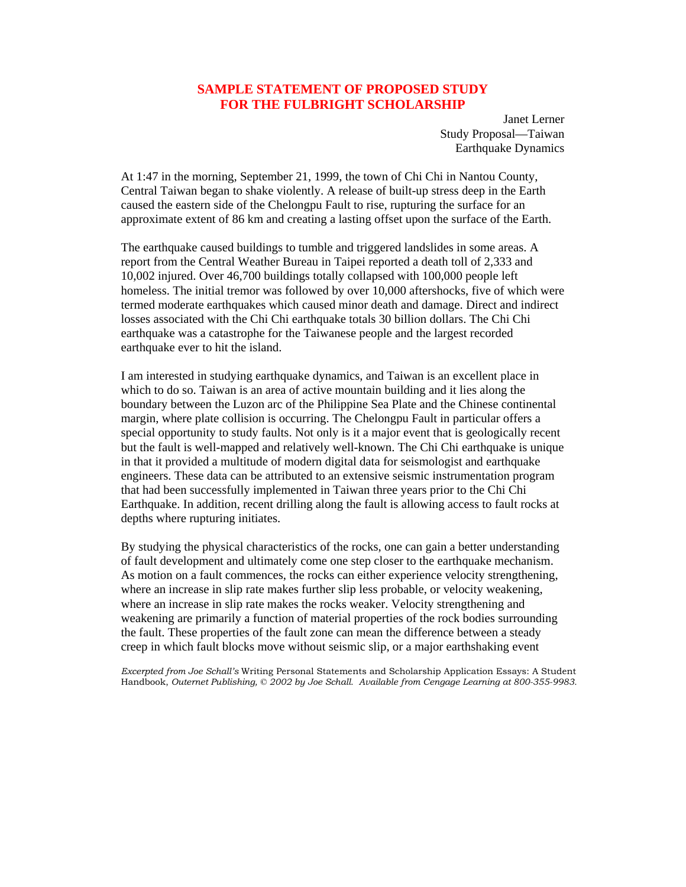### **SAMPLE STATEMENT OF PROPOSED STUDY FOR THE FULBRIGHT SCHOLARSHIP**

Janet Lerner Study Proposal—Taiwan Earthquake Dynamics

At 1:47 in the morning, September 21, 1999, the town of Chi Chi in Nantou County, Central Taiwan began to shake violently. A release of built-up stress deep in the Earth caused the eastern side of the Chelongpu Fault to rise, rupturing the surface for an approximate extent of 86 km and creating a lasting offset upon the surface of the Earth.

The earthquake caused buildings to tumble and triggered landslides in some areas. A report from the Central Weather Bureau in Taipei reported a death toll of 2,333 and 10,002 injured. Over 46,700 buildings totally collapsed with 100,000 people left homeless. The initial tremor was followed by over 10,000 aftershocks, five of which were termed moderate earthquakes which caused minor death and damage. Direct and indirect losses associated with the Chi Chi earthquake totals 30 billion dollars. The Chi Chi earthquake was a catastrophe for the Taiwanese people and the largest recorded earthquake ever to hit the island.

I am interested in studying earthquake dynamics, and Taiwan is an excellent place in which to do so. Taiwan is an area of active mountain building and it lies along the boundary between the Luzon arc of the Philippine Sea Plate and the Chinese continental margin, where plate collision is occurring. The Chelongpu Fault in particular offers a special opportunity to study faults. Not only is it a major event that is geologically recent but the fault is well-mapped and relatively well-known. The Chi Chi earthquake is unique in that it provided a multitude of modern digital data for seismologist and earthquake engineers. These data can be attributed to an extensive seismic instrumentation program that had been successfully implemented in Taiwan three years prior to the Chi Chi Earthquake. In addition, recent drilling along the fault is allowing access to fault rocks at depths where rupturing initiates.

By studying the physical characteristics of the rocks, one can gain a better understanding of fault development and ultimately come one step closer to the earthquake mechanism. As motion on a fault commences, the rocks can either experience velocity strengthening, where an increase in slip rate makes further slip less probable, or velocity weakening, where an increase in slip rate makes the rocks weaker. Velocity strengthening and weakening are primarily a function of material properties of the rock bodies surrounding the fault. These properties of the fault zone can mean the difference between a steady creep in which fault blocks move without seismic slip, or a major earthshaking event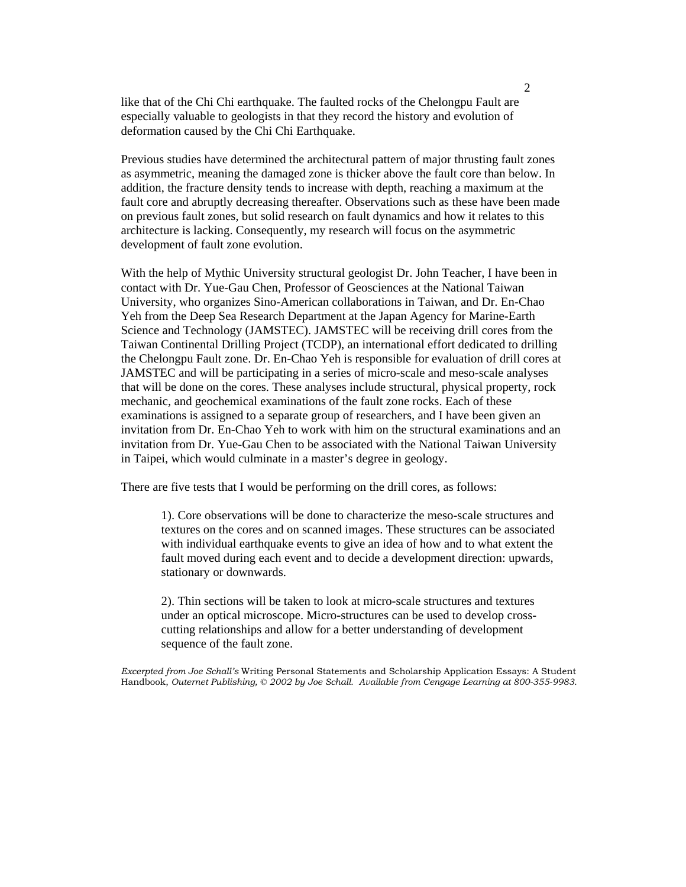like that of the Chi Chi earthquake. The faulted rocks of the Chelongpu Fault are especially valuable to geologists in that they record the history and evolution of deformation caused by the Chi Chi Earthquake.

Previous studies have determined the architectural pattern of major thrusting fault zones as asymmetric, meaning the damaged zone is thicker above the fault core than below. In addition, the fracture density tends to increase with depth, reaching a maximum at the fault core and abruptly decreasing thereafter. Observations such as these have been made on previous fault zones, but solid research on fault dynamics and how it relates to this architecture is lacking. Consequently, my research will focus on the asymmetric development of fault zone evolution.

With the help of Mythic University structural geologist Dr. John Teacher, I have been in contact with Dr. Yue-Gau Chen, Professor of Geosciences at the National Taiwan University, who organizes Sino-American collaborations in Taiwan, and Dr. En-Chao Yeh from the Deep Sea Research Department at the Japan Agency for Marine-Earth Science and Technology (JAMSTEC). JAMSTEC will be receiving drill cores from the Taiwan Continental Drilling Project (TCDP), an international effort dedicated to drilling the Chelongpu Fault zone. Dr. En-Chao Yeh is responsible for evaluation of drill cores at JAMSTEC and will be participating in a series of micro-scale and meso-scale analyses that will be done on the cores. These analyses include structural, physical property, rock mechanic, and geochemical examinations of the fault zone rocks. Each of these examinations is assigned to a separate group of researchers, and I have been given an invitation from Dr. En-Chao Yeh to work with him on the structural examinations and an invitation from Dr. Yue-Gau Chen to be associated with the National Taiwan University in Taipei, which would culminate in a master's degree in geology.

There are five tests that I would be performing on the drill cores, as follows:

1). Core observations will be done to characterize the meso-scale structures and textures on the cores and on scanned images. These structures can be associated with individual earthquake events to give an idea of how and to what extent the fault moved during each event and to decide a development direction: upwards, stationary or downwards.

2). Thin sections will be taken to look at micro-scale structures and textures under an optical microscope. Micro-structures can be used to develop crosscutting relationships and allow for a better understanding of development sequence of the fault zone.